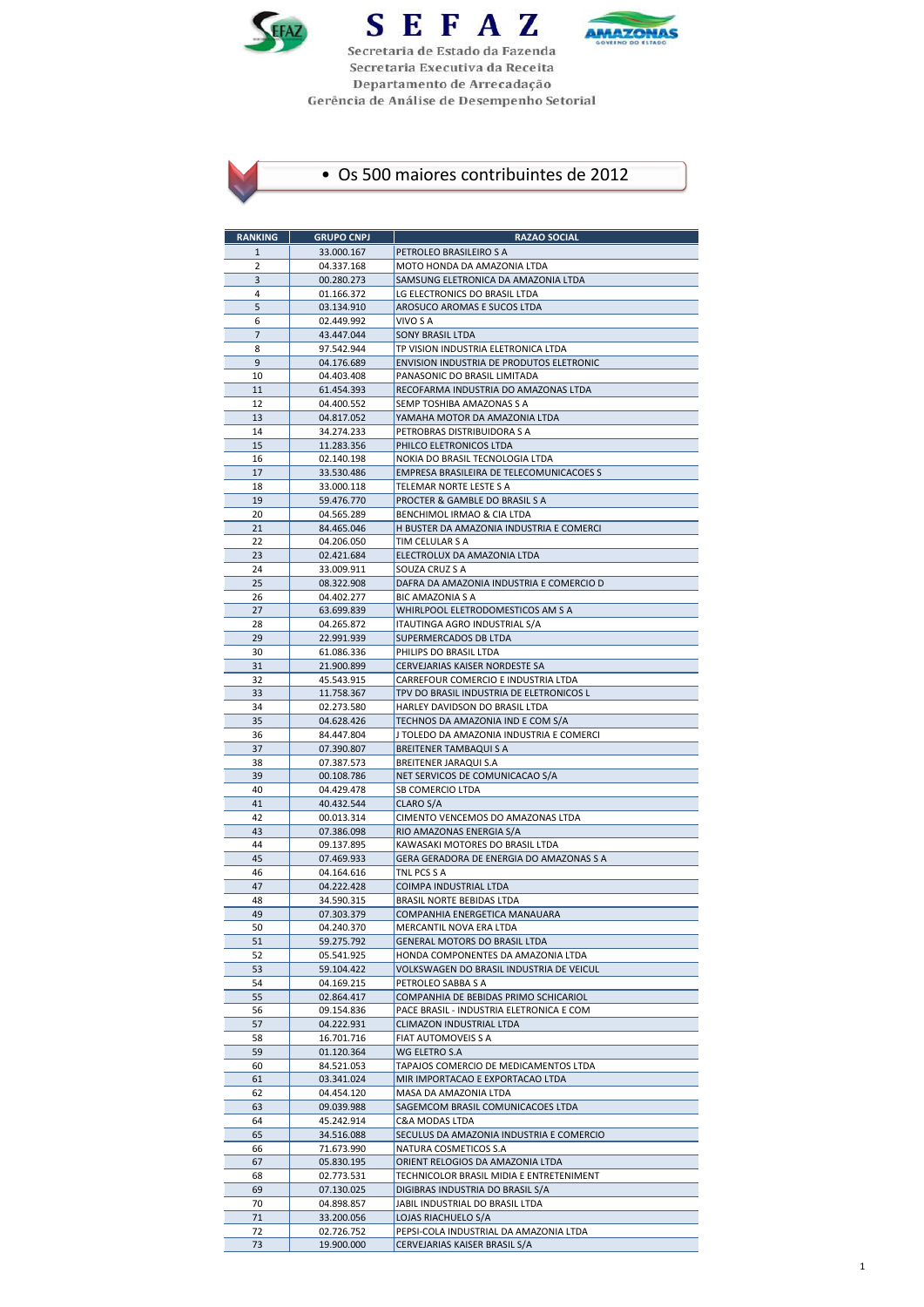





| <b>RANKING</b> | <b>GRUPO CNPJ</b>        | <b>RAZAO SOCIAL</b>                                                            |
|----------------|--------------------------|--------------------------------------------------------------------------------|
| $\mathbf{1}$   | 33.000.167               | PETROLEO BRASILEIRO S A                                                        |
| 2              | 04.337.168               | MOTO HONDA DA AMAZONIA LTDA                                                    |
| 3              | 00.280.273               | SAMSUNG ELETRONICA DA AMAZONIA LTDA                                            |
| 4              | 01.166.372               | LG ELECTRONICS DO BRASIL LTDA                                                  |
| 5<br>6         | 03.134.910               | AROSUCO AROMAS E SUCOS LTDA<br>VIVO S A                                        |
| 7              | 02.449.992<br>43.447.044 | SONY BRASIL LTDA                                                               |
| 8              | 97.542.944               | TP VISION INDUSTRIA ELETRONICA LTDA                                            |
| 9              | 04.176.689               | ENVISION INDUSTRIA DE PRODUTOS ELETRONIC                                       |
| 10             | 04.403.408               | PANASONIC DO BRASIL LIMITADA                                                   |
| 11             | 61.454.393               | RECOFARMA INDUSTRIA DO AMAZONAS LTDA                                           |
| 12             | 04.400.552               | SEMP TOSHIBA AMAZONAS S A                                                      |
| 13             | 04.817.052<br>34.274.233 | YAMAHA MOTOR DA AMAZONIA LTDA                                                  |
| 14<br>15       | 11.283.356               | PETROBRAS DISTRIBUIDORA S A<br>PHILCO ELETRONICOS LTDA                         |
| 16             | 02.140.198               | NOKIA DO BRASIL TECNOLOGIA LTDA                                                |
| 17             | 33.530.486               | EMPRESA BRASILEIRA DE TELECOMUNICACOES S                                       |
| 18             | 33.000.118               | TELEMAR NORTE LESTE S A                                                        |
| 19             | 59.476.770               | PROCTER & GAMBLE DO BRASIL S A                                                 |
| 20             | 04.565.289               | BENCHIMOL IRMAO & CIA LTDA                                                     |
| 21<br>22       | 84.465.046<br>04.206.050 | H BUSTER DA AMAZONIA INDUSTRIA E COMERCI                                       |
| 23             | 02.421.684               | TIM CELULAR S A<br>ELECTROLUX DA AMAZONIA LTDA                                 |
| 24             | 33.009.911               | SOUZA CRUZ S A                                                                 |
| 25             | 08.322.908               | DAFRA DA AMAZONIA INDUSTRIA E COMERCIO D                                       |
| 26             | 04.402.277               | BIC AMAZONIA S A                                                               |
| 27             | 63.699.839               | WHIRLPOOL ELETRODOMESTICOS AM S A                                              |
| 28             | 04.265.872               | ITAUTINGA AGRO INDUSTRIAL S/A                                                  |
| 29             | 22.991.939               | SUPERMERCADOS DB LTDA<br>PHILIPS DO BRASIL LTDA                                |
| 30<br>31       | 61.086.336<br>21.900.899 | CERVEJARIAS KAISER NORDESTE SA                                                 |
| 32             | 45.543.915               | CARREFOUR COMERCIO E INDUSTRIA LTDA                                            |
| 33             | 11.758.367               | TPV DO BRASIL INDUSTRIA DE ELETRONICOS L                                       |
| 34             | 02.273.580               | HARLEY DAVIDSON DO BRASIL LTDA                                                 |
| 35             | 04.628.426               | TECHNOS DA AMAZONIA IND E COM S/A                                              |
| 36             | 84.447.804               | J TOLEDO DA AMAZONIA INDUSTRIA E COMERCI                                       |
| 37<br>38       | 07.390.807<br>07.387.573 | BREITENER TAMBAQUI S A<br>BREITENER JARAQUI S.A                                |
| 39             | 00.108.786               | NET SERVICOS DE COMUNICACAO S/A                                                |
| 40             | 04.429.478               | SB COMERCIO LTDA                                                               |
| 41             | 40.432.544               | CLARO S/A                                                                      |
| 42             | 00.013.314               | CIMENTO VENCEMOS DO AMAZONAS LTDA                                              |
| 43             | 07.386.098               | RIO AMAZONAS ENERGIA S/A                                                       |
| 44<br>45       | 09.137.895<br>07.469.933 | KAWASAKI MOTORES DO BRASIL LTDA<br>GERA GERADORA DE ENERGIA DO AMAZONAS S A    |
| 46             | 04.164.616               | TNL PCS S A                                                                    |
| 47             | 04.222.428               | COIMPA INDUSTRIAL LTDA                                                         |
| 48             | 34.590.315               | <b>BRASIL NORTE BEBIDAS LTDA</b>                                               |
| 49             | 07.303.379               | COMPANHIA ENERGETICA MANAUARA                                                  |
| 50             | 04.240.370               | MERCANTIL NOVA ERA LTDA                                                        |
| 51             | 59.275.792               | GENERAL MOTORS DO BRASIL LTDA                                                  |
| 52<br>53       | 05.541.925<br>59.104.422 | HONDA COMPONENTES DA AMAZONIA LTDA<br>VOLKSWAGEN DO BRASIL INDUSTRIA DE VEICUL |
| 54             | 04.169.215               | PETROLEO SABBA S A                                                             |
| 55             | 02.864.417               | COMPANHIA DE BEBIDAS PRIMO SCHICARIOL                                          |
| 56             | 09.154.836               | PACE BRASIL - INDUSTRIA ELETRONICA E COM                                       |
| 57             | 04.222.931               | CLIMAZON INDUSTRIAL LTDA                                                       |
| 58             | 16.701.716               | FIAT AUTOMOVEIS S A                                                            |
| 59             | 01.120.364               | WG ELETRO S.A<br>TAPAJOS COMERCIO DE MEDICAMENTOS LTDA                         |
| 60<br>61       | 84.521.053<br>03.341.024 | MIR IMPORTACAO E EXPORTACAO LTDA                                               |
| 62             | 04.454.120               | MASA DA AMAZONIA LTDA                                                          |
| 63             | 09.039.988               | SAGEMCOM BRASIL COMUNICACOES LTDA                                              |
| 64             | 45.242.914               | C&A MODAS LTDA                                                                 |
| 65             | 34.516.088               | SECULUS DA AMAZONIA INDUSTRIA E COMERCIO                                       |
| 66             | 71.673.990               | NATURA COSMETICOS S.A                                                          |
| 67<br>68       | 05.830.195<br>02.773.531 | ORIENT RELOGIOS DA AMAZONIA LTDA<br>TECHNICOLOR BRASIL MIDIA E ENTRETENIMENT   |
| 69             | 07.130.025               | DIGIBRAS INDUSTRIA DO BRASIL S/A                                               |
| 70             | 04.898.857               | JABIL INDUSTRIAL DO BRASIL LTDA                                                |
| 71             | 33.200.056               | LOJAS RIACHUELO S/A                                                            |
| 72             | 02.726.752               | PEPSI-COLA INDUSTRIAL DA AMAZONIA LTDA                                         |
| 73             | 19.900.000               | CERVEJARIAS KAISER BRASIL S/A                                                  |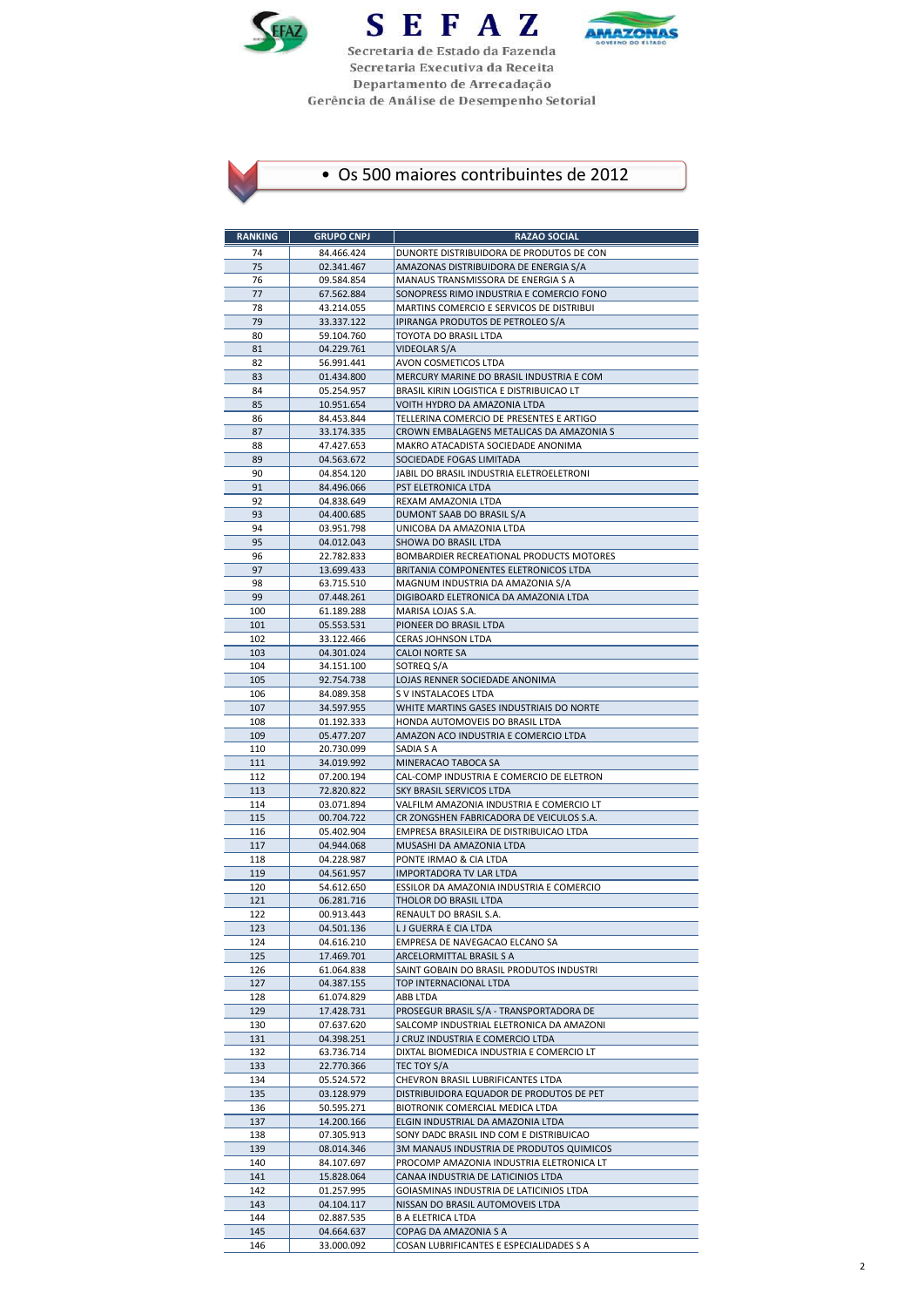





| <b>RANKING</b> | <b>GRUPO CNPJ</b>        | <b>RAZAO SOCIAL</b>                                                               |
|----------------|--------------------------|-----------------------------------------------------------------------------------|
| 74             | 84.466.424               | DUNORTE DISTRIBUIDORA DE PRODUTOS DE CON                                          |
| 75             | 02.341.467               | AMAZONAS DISTRIBUIDORA DE ENERGIA S/A                                             |
| 76             | 09.584.854               | MANAUS TRANSMISSORA DE ENERGIA S A                                                |
| 77             | 67.562.884               | SONOPRESS RIMO INDUSTRIA E COMERCIO FONO                                          |
| 78             | 43.214.055               | MARTINS COMERCIO E SERVICOS DE DISTRIBUI                                          |
| 79<br>80       | 33.337.122<br>59.104.760 | IPIRANGA PRODUTOS DE PETROLEO S/A<br>TOYOTA DO BRASIL LTDA                        |
| 81             | 04.229.761               | VIDEOLAR S/A                                                                      |
| 82             | 56.991.441               | AVON COSMETICOS LTDA                                                              |
| 83             | 01.434.800               | MERCURY MARINE DO BRASIL INDUSTRIA E COM                                          |
| 84             | 05.254.957               | BRASIL KIRIN LOGISTICA E DISTRIBUICAO LT                                          |
| 85             | 10.951.654               | VOITH HYDRO DA AMAZONIA LTDA                                                      |
| 86             | 84.453.844               | TELLERINA COMERCIO DE PRESENTES E ARTIGO                                          |
| 87<br>88       | 33.174.335<br>47.427.653 | CROWN EMBALAGENS METALICAS DA AMAZONIA S<br>MAKRO ATACADISTA SOCIEDADE ANONIMA    |
| 89             | 04.563.672               | SOCIEDADE FOGAS LIMITADA                                                          |
| 90             | 04.854.120               | JABIL DO BRASIL INDUSTRIA ELETROELETRONI                                          |
| 91             | 84.496.066               | PST ELETRONICA LTDA                                                               |
| 92             | 04.838.649               | REXAM AMAZONIA LTDA                                                               |
| 93             | 04.400.685               | DUMONT SAAB DO BRASIL S/A                                                         |
| 94             | 03.951.798               | UNICOBA DA AMAZONIA LTDA                                                          |
| 95             | 04.012.043               | SHOWA DO BRASIL LTDA                                                              |
| 96<br>97       | 22.782.833<br>13.699.433 | BOMBARDIER RECREATIONAL PRODUCTS MOTORES<br>BRITANIA COMPONENTES ELETRONICOS LTDA |
| 98             | 63.715.510               | MAGNUM INDUSTRIA DA AMAZONIA S/A                                                  |
| 99             | 07.448.261               | DIGIBOARD ELETRONICA DA AMAZONIA LTDA                                             |
| 100            | 61.189.288               | MARISA LOJAS S.A.                                                                 |
| 101            | 05.553.531               | PIONEER DO BRASIL LTDA                                                            |
| 102            | 33.122.466               | <b>CERAS JOHNSON LTDA</b>                                                         |
| 103            | 04.301.024               | CALOI NORTE SA                                                                    |
| 104<br>105     | 34.151.100<br>92.754.738 | SOTREQ S/A<br>LOJAS RENNER SOCIEDADE ANONIMA                                      |
| 106            | 84.089.358               | S V INSTALACOES LTDA                                                              |
| 107            | 34.597.955               | WHITE MARTINS GASES INDUSTRIAIS DO NORTE                                          |
| 108            | 01.192.333               | HONDA AUTOMOVEIS DO BRASIL LTDA                                                   |
| 109            | 05.477.207               | AMAZON ACO INDUSTRIA E COMERCIO LTDA                                              |
| 110            | 20.730.099               | SADIA S A                                                                         |
| 111            | 34.019.992               | MINERACAO TABOCA SA                                                               |
| 112            | 07.200.194               | CAL-COMP INDUSTRIA E COMERCIO DE ELETRON                                          |
| 113<br>114     | 72.820.822<br>03.071.894 | SKY BRASIL SERVICOS LTDA<br>VALFILM AMAZONIA INDUSTRIA E COMERCIO LT              |
| 115            | 00.704.722               | CR ZONGSHEN FABRICADORA DE VEICULOS S.A.                                          |
| 116            | 05.402.904               | EMPRESA BRASILEIRA DE DISTRIBUICAO LTDA                                           |
| 117            | 04.944.068               | MUSASHI DA AMAZONIA LTDA                                                          |
| 118            | 04.228.987               | PONTE IRMAO & CIA LTDA                                                            |
| 119            | 04.561.957               | IMPORTADORA TV LAR LTDA                                                           |
| 120<br>121     | 54.612.650<br>06.281.716 | ESSILOR DA AMAZONIA INDUSTRIA E COMERCIO<br>THOLOR DO BRASIL LTDA                 |
| 122            | 00.913.443               | RENAULT DO BRASIL S.A.                                                            |
| 123            | 04.501.136               | L J GUERRA E CIA LTDA                                                             |
| 124            | 04.616.210               | EMPRESA DE NAVEGACAO ELCANO SA                                                    |
| 125            | 17.469.701               | ARCELORMITTAL BRASIL S A                                                          |
| 126            | 61.064.838               | SAINT GOBAIN DO BRASIL PRODUTOS INDUSTRI                                          |
| 127            | 04.387.155               | TOP INTERNACIONAL LTDA                                                            |
| 128<br>129     | 61.074.829<br>17.428.731 | ABB LTDA<br>PROSEGUR BRASIL S/A - TRANSPORTADORA DE                               |
| 130            | 07.637.620               | SALCOMP INDUSTRIAL ELETRONICA DA AMAZONI                                          |
| 131            | 04.398.251               | J CRUZ INDUSTRIA E COMERCIO LTDA                                                  |
| 132            | 63.736.714               | DIXTAL BIOMEDICA INDUSTRIA E COMERCIO LT                                          |
| 133            | 22.770.366               | TEC TOY S/A                                                                       |
| 134            | 05.524.572               | CHEVRON BRASIL LUBRIFICANTES LTDA                                                 |
| 135            | 03.128.979               | DISTRIBUIDORA EQUADOR DE PRODUTOS DE PET                                          |
| 136<br>137     | 50.595.271<br>14.200.166 | BIOTRONIK COMERCIAL MEDICA LTDA<br>ELGIN INDUSTRIAL DA AMAZONIA LTDA              |
| 138            | 07.305.913               | SONY DADC BRASIL IND COM E DISTRIBUICAO                                           |
| 139            | 08.014.346               | 3M MANAUS INDUSTRIA DE PRODUTOS QUIMICOS                                          |
| 140            | 84.107.697               | PROCOMP AMAZONIA INDUSTRIA ELETRONICA LT                                          |
| 141            | 15.828.064               | CANAA INDUSTRIA DE LATICINIOS LTDA                                                |
| 142            | 01.257.995               | GOIASMINAS INDUSTRIA DE LATICINIOS LTDA                                           |
| 143            | 04.104.117               | NISSAN DO BRASIL AUTOMOVEIS LTDA                                                  |
| 144            | 02.887.535               | <b>B A ELETRICA LTDA</b>                                                          |
| 145            | 04.664.637               | COPAG DA AMAZONIA S A                                                             |
| 146            | 33.000.092               | COSAN LUBRIFICANTES E ESPECIALIDADES S A                                          |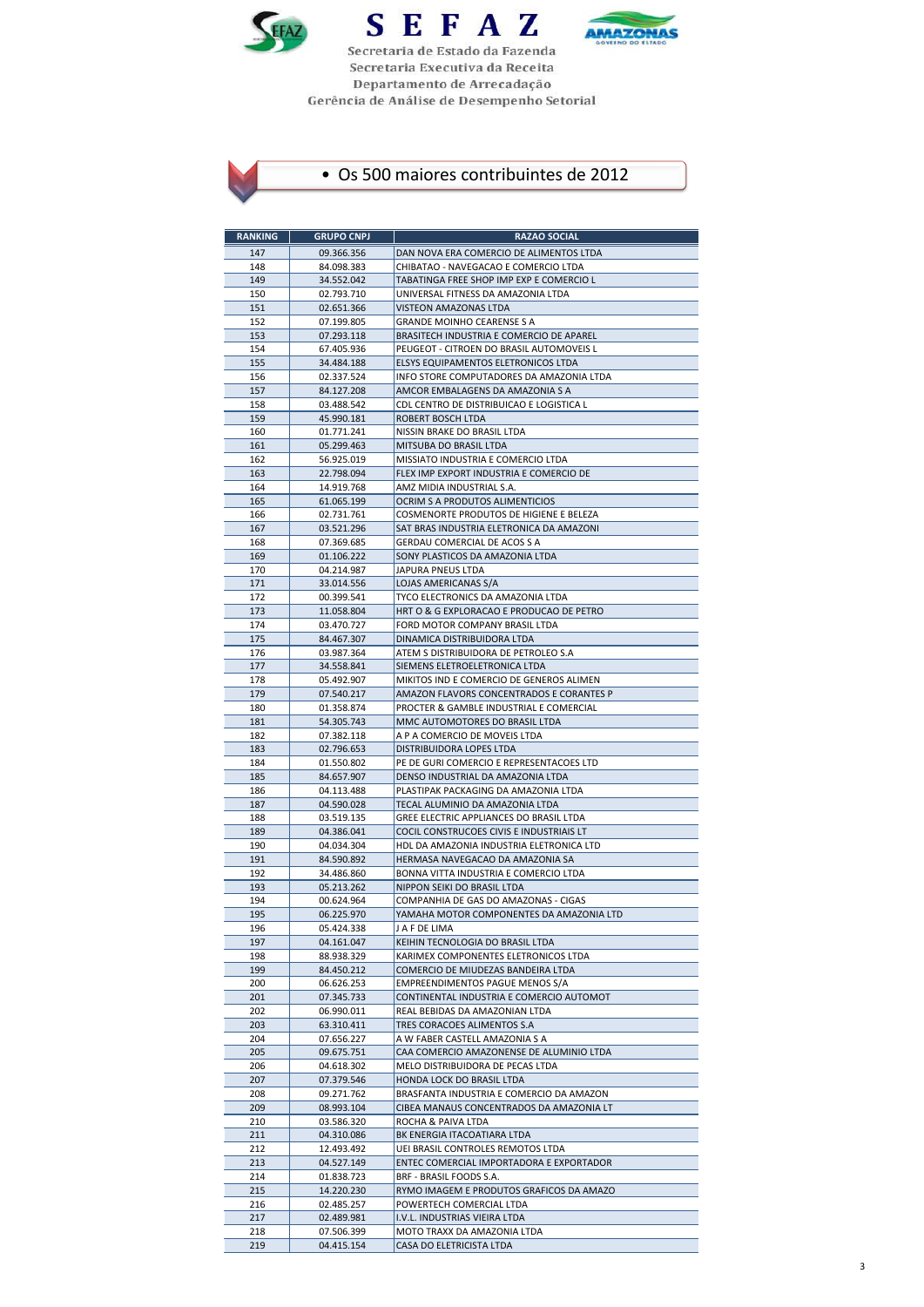





| <b>RANKING</b> | <b>GRUPO CNPJ</b>        | <b>RAZAO SOCIAL</b>                                                                  |
|----------------|--------------------------|--------------------------------------------------------------------------------------|
| 147            | 09.366.356               | DAN NOVA ERA COMERCIO DE ALIMENTOS LTDA                                              |
| 148            | 84.098.383               | CHIBATAO - NAVEGACAO E COMERCIO LTDA                                                 |
| 149            | 34.552.042               | TABATINGA FREE SHOP IMP EXP E COMERCIO L                                             |
| 150            | 02.793.710               | UNIVERSAL FITNESS DA AMAZONIA LTDA                                                   |
| 151            | 02.651.366               | VISTEON AMAZONAS LTDA                                                                |
| 152            | 07.199.805               | <b>GRANDE MOINHO CEARENSE S A</b>                                                    |
| 153            | 07.293.118               | BRASITECH INDUSTRIA E COMERCIO DE APAREL                                             |
| 154<br>155     | 67.405.936<br>34.484.188 | PEUGEOT - CITROEN DO BRASIL AUTOMOVEIS L<br>ELSYS EQUIPAMENTOS ELETRONICOS LTDA      |
| 156            | 02.337.524               | INFO STORE COMPUTADORES DA AMAZONIA LTDA                                             |
| 157            | 84.127.208               | AMCOR EMBALAGENS DA AMAZONIA S A                                                     |
| 158            | 03.488.542               | CDL CENTRO DE DISTRIBUICAO E LOGISTICA L                                             |
| 159            | 45.990.181               | ROBERT BOSCH LTDA                                                                    |
| 160            | 01.771.241               | NISSIN BRAKE DO BRASIL LTDA                                                          |
| 161            | 05.299.463               | MITSUBA DO BRASIL LTDA                                                               |
| 162            | 56.925.019               | MISSIATO INDUSTRIA E COMERCIO LTDA                                                   |
| 163<br>164     | 22.798.094<br>14.919.768 | FLEX IMP EXPORT INDUSTRIA E COMERCIO DE<br>AMZ MIDIA INDUSTRIAL S.A.                 |
| 165            | 61.065.199               | OCRIM S A PRODUTOS ALIMENTICIOS                                                      |
| 166            | 02.731.761               | COSMENORTE PRODUTOS DE HIGIENE E BELEZA                                              |
| 167            | 03.521.296               | SAT BRAS INDUSTRIA ELETRONICA DA AMAZONI                                             |
| 168            | 07.369.685               | GERDAU COMERCIAL DE ACOS S A                                                         |
| 169            | 01.106.222               | SONY PLASTICOS DA AMAZONIA LTDA                                                      |
| 170            | 04.214.987               | JAPURA PNEUS LTDA                                                                    |
| 171            | 33.014.556               | LOJAS AMERICANAS S/A                                                                 |
| 172            | 00.399.541               | TYCO ELECTRONICS DA AMAZONIA LTDA                                                    |
| 173<br>174     | 11.058.804<br>03.470.727 | HRT O & G EXPLORACAO E PRODUCAO DE PETRO<br>FORD MOTOR COMPANY BRASIL LTDA           |
| 175            | 84.467.307               | DINAMICA DISTRIBUIDORA LTDA                                                          |
| 176            | 03.987.364               | ATEM S DISTRIBUIDORA DE PETROLEO S.A                                                 |
| 177            | 34.558.841               | SIEMENS ELETROELETRONICA LTDA                                                        |
| 178            | 05.492.907               | MIKITOS IND E COMERCIO DE GENEROS ALIMEN                                             |
| 179            | 07.540.217               | AMAZON FLAVORS CONCENTRADOS E CORANTES P                                             |
| 180            | 01.358.874               | PROCTER & GAMBLE INDUSTRIAL E COMERCIAL                                              |
| 181            | 54.305.743               | MMC AUTOMOTORES DO BRASIL LTDA                                                       |
| 182<br>183     | 07.382.118<br>02.796.653 | A P A COMERCIO DE MOVEIS LTDA<br>DISTRIBUIDORA LOPES LTDA                            |
| 184            | 01.550.802               | PE DE GURI COMERCIO E REPRESENTACOES LTD                                             |
| 185            | 84.657.907               | DENSO INDUSTRIAL DA AMAZONIA LTDA                                                    |
| 186            | 04.113.488               | PLASTIPAK PACKAGING DA AMAZONIA LTDA                                                 |
| 187            | 04.590.028               | TECAL ALUMINIO DA AMAZONIA LTDA                                                      |
| 188            | 03.519.135               | GREE ELECTRIC APPLIANCES DO BRASIL LTDA                                              |
| 189            | 04.386.041               | COCIL CONSTRUCOES CIVIS E INDUSTRIAIS LT                                             |
| 190<br>191     | 04.034.304<br>84.590.892 | HDL DA AMAZONIA INDUSTRIA ELETRONICA LTD<br>HERMASA NAVEGACAO DA AMAZONIA SA         |
| 192            | 34.486.860               | BONNA VITTA INDUSTRIA E COMERCIO LTDA                                                |
| 193            | 05.213.262               | NIPPON SEIKI DO BRASIL LTDA                                                          |
| 194            | 00.624.964               | COMPANHIA DE GAS DO AMAZONAS - CIGAS                                                 |
| 195            | 06.225.970               | YAMAHA MOTOR COMPONENTES DA AMAZONIA LTD                                             |
| 196            | 05.424.338               | J A F DE LIMA                                                                        |
| 197            | 04.161.047               | KEIHIN TECNOLOGIA DO BRASIL LTDA                                                     |
| 198            | 88.938.329               | KARIMEX COMPONENTES ELETRONICOS LTDA                                                 |
| 199<br>200     | 84.450.212<br>06.626.253 | COMERCIO DE MIUDEZAS BANDEIRA LTDA<br>EMPREENDIMENTOS PAGUE MENOS S/A                |
| 201            | 07.345.733               | CONTINENTAL INDUSTRIA E COMERCIO AUTOMOT                                             |
| 202            | 06.990.011               | REAL BEBIDAS DA AMAZONIAN LTDA                                                       |
| 203            | 63.310.411               | TRES CORACOES ALIMENTOS S.A                                                          |
| 204            | 07.656.227               | A W FABER CASTELL AMAZONIA S A                                                       |
| 205            | 09.675.751               | CAA COMERCIO AMAZONENSE DE ALUMINIO LTDA                                             |
| 206            | 04.618.302               | MELO DISTRIBUIDORA DE PECAS LTDA                                                     |
| 207            | 07.379.546               | HONDA LOCK DO BRASIL LTDA                                                            |
| 208<br>209     | 09.271.762<br>08.993.104 | BRASFANTA INDUSTRIA E COMERCIO DA AMAZON<br>CIBEA MANAUS CONCENTRADOS DA AMAZONIA LT |
| 210            | 03.586.320               | ROCHA & PAIVA LTDA                                                                   |
| 211            | 04.310.086               | BK ENERGIA ITACOATIARA LTDA                                                          |
| 212            | 12.493.492               | UEI BRASIL CONTROLES REMOTOS LTDA                                                    |
| 213            | 04.527.149               | ENTEC COMERCIAL IMPORTADORA E EXPORTADOR                                             |
| 214            | 01.838.723               | BRF - BRASIL FOODS S.A.                                                              |
| 215            | 14.220.230               | RYMO IMAGEM E PRODUTOS GRAFICOS DA AMAZO                                             |
| 216            | 02.485.257               | POWERTECH COMERCIAL LTDA                                                             |
| 217<br>218     | 02.489.981<br>07.506.399 | I.V.L. INDUSTRIAS VIEIRA LTDA<br>MOTO TRAXX DA AMAZONIA LTDA                         |
| 219            | 04.415.154               | CASA DO ELETRICISTA LTDA                                                             |
|                |                          |                                                                                      |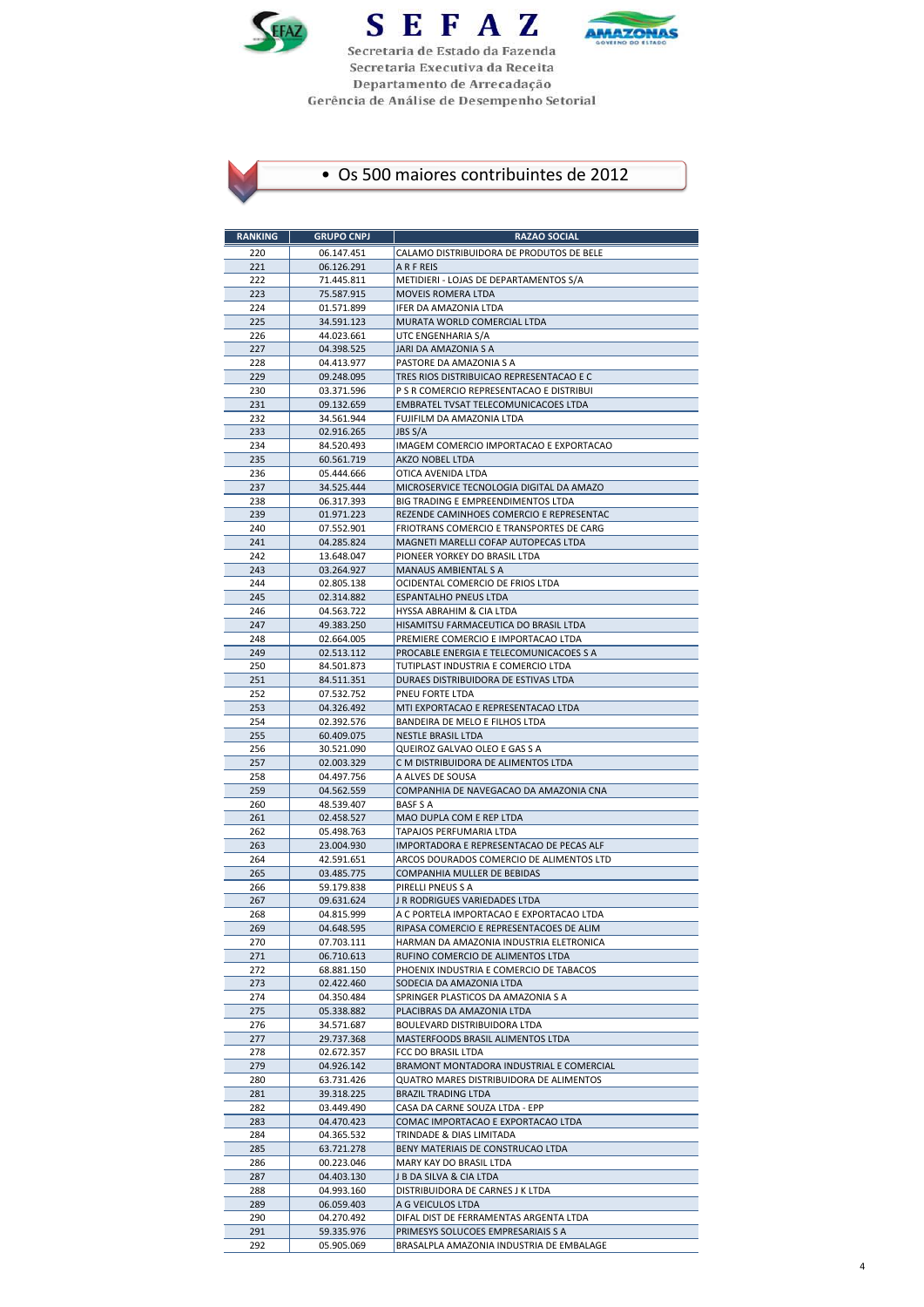





| <b>RANKING</b> | <b>GRUPO CNPJ</b>        | <b>RAZAO SOCIAL</b>                                                                  |
|----------------|--------------------------|--------------------------------------------------------------------------------------|
| 220            | 06.147.451               | CALAMO DISTRIBUIDORA DE PRODUTOS DE BELE                                             |
| 221            | 06.126.291               | A R F REIS                                                                           |
| 222            | 71.445.811               | METIDIERI - LOJAS DE DEPARTAMENTOS S/A                                               |
| 223            | 75.587.915               | MOVEIS ROMERA LTDA                                                                   |
| 224<br>225     | 01.571.899<br>34.591.123 | IFER DA AMAZONIA LTDA<br>MURATA WORLD COMERCIAL LTDA                                 |
| 226            | 44.023.661               | UTC ENGENHARIA S/A                                                                   |
| 227            | 04.398.525               | JARI DA AMAZONIA S A                                                                 |
| 228            | 04.413.977               | PASTORE DA AMAZONIA S A                                                              |
| 229            | 09.248.095               | TRES RIOS DISTRIBUICAO REPRESENTACAO E C                                             |
| 230            | 03.371.596               | P S R COMERCIO REPRESENTACAO E DISTRIBUI                                             |
| 231            | 09.132.659               | EMBRATEL TVSAT TELECOMUNICACOES LTDA                                                 |
| 232<br>233     | 34.561.944<br>02.916.265 | FUJIFILM DA AMAZONIA LTDA<br><b>JBS S/A</b>                                          |
| 234            | 84.520.493               | IMAGEM COMERCIO IMPORTACAO E EXPORTACAO                                              |
| 235            | 60.561.719               | AKZO NOBEL LTDA                                                                      |
| 236            | 05.444.666               | OTICA AVENIDA LTDA                                                                   |
| 237            | 34.525.444               | MICROSERVICE TECNOLOGIA DIGITAL DA AMAZO                                             |
| 238            | 06.317.393               | BIG TRADING E EMPREENDIMENTOS LTDA                                                   |
| 239            | 01.971.223               | REZENDE CAMINHOES COMERCIO E REPRESENTAC                                             |
| 240<br>241     | 07.552.901<br>04.285.824 | FRIOTRANS COMERCIO E TRANSPORTES DE CARG<br>MAGNETI MARELLI COFAP AUTOPECAS LTDA     |
| 242            | 13.648.047               | PIONEER YORKEY DO BRASIL LTDA                                                        |
| 243            | 03.264.927               | MANAUS AMBIENTAL S A                                                                 |
| 244            | 02.805.138               | OCIDENTAL COMERCIO DE FRIOS LTDA                                                     |
| 245            | 02.314.882               | <b>ESPANTALHO PNEUS LTDA</b>                                                         |
| 246            | 04.563.722               | HYSSA ABRAHIM & CIA LTDA                                                             |
| 247            | 49.383.250               | HISAMITSU FARMACEUTICA DO BRASIL LTDA<br>PREMIERE COMERCIO E IMPORTACAO LTDA         |
| 248<br>249     | 02.664.005<br>02.513.112 | PROCABLE ENERGIA E TELECOMUNICACOES S A                                              |
| 250            | 84.501.873               | TUTIPLAST INDUSTRIA E COMERCIO LTDA                                                  |
| 251            | 84.511.351               | DURAES DISTRIBUIDORA DE ESTIVAS LTDA                                                 |
| 252            | 07.532.752               | PNEU FORTE LTDA                                                                      |
| 253            | 04.326.492               | MTI EXPORTACAO E REPRESENTACAO LTDA                                                  |
| 254            | 02.392.576               | BANDEIRA DE MELO E FILHOS LTDA                                                       |
| 255<br>256     | 60.409.075               | <b>NESTLE BRASIL LTDA</b><br>QUEIROZ GALVAO OLEO E GAS S A                           |
| 257            | 30.521.090<br>02.003.329 | C M DISTRIBUIDORA DE ALIMENTOS LTDA                                                  |
| 258            | 04.497.756               | A ALVES DE SOUSA                                                                     |
| 259            | 04.562.559               | COMPANHIA DE NAVEGACAO DA AMAZONIA CNA                                               |
| 260            | 48.539.407               | <b>BASF S A</b>                                                                      |
| 261            | 02.458.527               | MAO DUPLA COM E REP LTDA                                                             |
| 262<br>263     | 05.498.763               | TAPAJOS PERFUMARIA LTDA                                                              |
| 264            | 23.004.930<br>42.591.651 | IMPORTADORA E REPRESENTACAO DE PECAS ALF<br>ARCOS DOURADOS COMERCIO DE ALIMENTOS LTD |
| 265            | 03.485.775               | COMPANHIA MULLER DE BEBIDAS                                                          |
| 266            | 59.179.838               | PIRELLI PNEUS S A                                                                    |
| 267            | 09.631.624               | J R RODRIGUES VARIEDADES LTDA                                                        |
| 268            | 04.815.999               | A C PORTELA IMPORTACAO E EXPORTACAO LTDA                                             |
| 269            | 04.648.595               | RIPASA COMERCIO E REPRESENTACOES DE ALIM                                             |
| 270<br>271     | 07.703.111<br>06.710.613 | HARMAN DA AMAZONIA INDUSTRIA ELETRONICA<br>RUFINO COMERCIO DE ALIMENTOS LTDA         |
| 272            | 68.881.150               | PHOENIX INDUSTRIA E COMERCIO DE TABACOS                                              |
| 273            | 02.422.460               | SODECIA DA AMAZONIA LTDA                                                             |
| 274            | 04.350.484               | SPRINGER PLASTICOS DA AMAZONIA S A                                                   |
| 275            | 05.338.882               | PLACIBRAS DA AMAZONIA LTDA                                                           |
| 276            | 34.571.687               | BOULEVARD DISTRIBUIDORA LTDA                                                         |
| 277<br>278     | 29.737.368<br>02.672.357 | MASTERFOODS BRASIL ALIMENTOS LTDA<br>FCC DO BRASIL LTDA                              |
| 279            | 04.926.142               | BRAMONT MONTADORA INDUSTRIAL E COMERCIAL                                             |
| 280            | 63.731.426               | QUATRO MARES DISTRIBUIDORA DE ALIMENTOS                                              |
| 281            | 39.318.225               | <b>BRAZIL TRADING LTDA</b>                                                           |
| 282            | 03.449.490               | CASA DA CARNE SOUZA LTDA - EPP                                                       |
| 283            | 04.470.423               | COMAC IMPORTACAO E EXPORTACAO LTDA                                                   |
| 284            | 04.365.532               | TRINDADE & DIAS LIMITADA<br>BENY MATERIAIS DE CONSTRUCAO LTDA                        |
| 285<br>286     | 63.721.278<br>00.223.046 | MARY KAY DO BRASIL LTDA                                                              |
| 287            | 04.403.130               | J B DA SILVA & CIA LTDA                                                              |
| 288            | 04.993.160               | DISTRIBUIDORA DE CARNES J K LTDA                                                     |
| 289            | 06.059.403               | A G VEICULOS LTDA                                                                    |
| 290            | 04.270.492               | DIFAL DIST DE FERRAMENTAS ARGENTA LTDA                                               |
| 291            | 59.335.976               | PRIMESYS SOLUCOES EMPRESARIAIS S A                                                   |
| 292            | 05.905.069               | BRASALPLA AMAZONIA INDUSTRIA DE EMBALAGE                                             |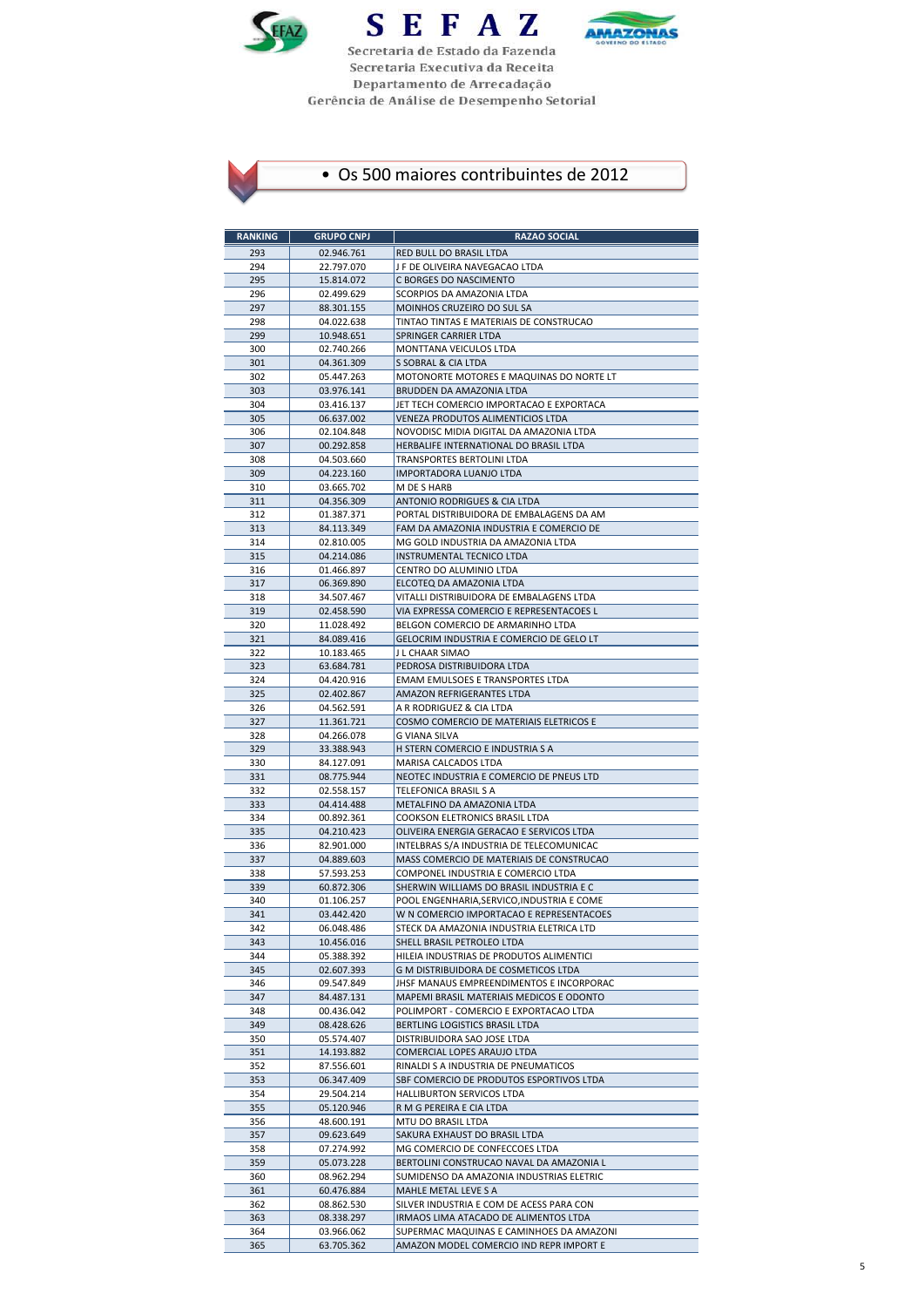





| <b>RANKING</b> | <b>GRUPO CNPJ</b>        | <b>RAZAO SOCIAL</b>                                                                    |
|----------------|--------------------------|----------------------------------------------------------------------------------------|
| 293            | 02.946.761               | RED BULL DO BRASIL LTDA                                                                |
| 294            | 22.797.070               | J F DE OLIVEIRA NAVEGACAO LTDA                                                         |
| 295            | 15.814.072               | C BORGES DO NASCIMENTO                                                                 |
| 296            | 02.499.629               | SCORPIOS DA AMAZONIA LTDA                                                              |
| 297            | 88.301.155               | MOINHOS CRUZEIRO DO SUL SA                                                             |
| 298<br>299     | 04.022.638               | TINTAO TINTAS E MATERIAIS DE CONSTRUCAO                                                |
| 300            | 10.948.651<br>02.740.266 | SPRINGER CARRIER LTDA<br>MONTTANA VEICULOS LTDA                                        |
| 301            | 04.361.309               | S SOBRAL & CIA LTDA                                                                    |
| 302            | 05.447.263               | MOTONORTE MOTORES E MAQUINAS DO NORTE LT                                               |
| 303            | 03.976.141               | BRUDDEN DA AMAZONIA LTDA                                                               |
| 304            | 03.416.137               | JET TECH COMERCIO IMPORTACAO E EXPORTACA                                               |
| 305            | 06.637.002               | VENEZA PRODUTOS ALIMENTICIOS LTDA                                                      |
| 306<br>307     | 02.104.848               | NOVODISC MIDIA DIGITAL DA AMAZONIA LTDA                                                |
| 308            | 00.292.858<br>04.503.660 | HERBALIFE INTERNATIONAL DO BRASIL LTDA<br>TRANSPORTES BERTOLINI LTDA                   |
| 309            | 04.223.160               | IMPORTADORA LUANJO LTDA                                                                |
| 310            | 03.665.702               | M DE S HARB                                                                            |
| 311            | 04.356.309               | ANTONIO RODRIGUES & CIA LTDA                                                           |
| 312            | 01.387.371               | PORTAL DISTRIBUIDORA DE EMBALAGENS DA AM                                               |
| 313            | 84.113.349               | FAM DA AMAZONIA INDUSTRIA E COMERCIO DE                                                |
| 314            | 02.810.005               | MG GOLD INDUSTRIA DA AMAZONIA LTDA                                                     |
| 315<br>316     | 04.214.086<br>01.466.897 | INSTRUMENTAL TECNICO LTDA<br>CENTRO DO ALUMINIO LTDA                                   |
| 317            | 06.369.890               | ELCOTEQ DA AMAZONIA LTDA                                                               |
| 318            | 34.507.467               | VITALLI DISTRIBUIDORA DE EMBALAGENS LTDA                                               |
| 319            | 02.458.590               | VIA EXPRESSA COMERCIO E REPRESENTACOES L                                               |
| 320            | 11.028.492               | BELGON COMERCIO DE ARMARINHO LTDA                                                      |
| 321            | 84.089.416               | GELOCRIM INDUSTRIA E COMERCIO DE GELO LT                                               |
| 322            | 10.183.465               | J L CHAAR SIMAO                                                                        |
| 323            | 63.684.781               | PEDROSA DISTRIBUIDORA LTDA                                                             |
| 324<br>325     | 04.420.916<br>02.402.867 | EMAM EMULSOES E TRANSPORTES LTDA<br>AMAZON REFRIGERANTES LTDA                          |
| 326            | 04.562.591               | A R RODRIGUEZ & CIA LTDA                                                               |
| 327            | 11.361.721               | COSMO COMERCIO DE MATERIAIS ELETRICOS E                                                |
| 328            | 04.266.078               | G VIANA SILVA                                                                          |
| 329            | 33.388.943               | H STERN COMERCIO E INDUSTRIA S A                                                       |
| 330            | 84.127.091               | MARISA CALCADOS LTDA                                                                   |
| 331            | 08.775.944               | NEOTEC INDUSTRIA E COMERCIO DE PNEUS LTD                                               |
| 332<br>333     | 02.558.157<br>04.414.488 | TELEFONICA BRASIL S A<br>METALFINO DA AMAZONIA LTDA                                    |
| 334            | 00.892.361               | COOKSON ELETRONICS BRASIL LTDA                                                         |
| 335            | 04.210.423               | OLIVEIRA ENERGIA GERACAO E SERVICOS LTDA                                               |
| 336            | 82.901.000               | INTELBRAS S/A INDUSTRIA DE TELECOMUNICAC                                               |
| 337            | 04.889.603               | MASS COMERCIO DE MATERIAIS DE CONSTRUCAO                                               |
| 338            | 57.593.253               | COMPONEL INDUSTRIA E COMERCIO LTDA                                                     |
| 339            | 60.872.306               | SHERWIN WILLIAMS DO BRASIL INDUSTRIA E C                                               |
| 340<br>341     | 01.106.257<br>03.442.420 | POOL ENGENHARIA, SERVICO, INDUSTRIA E COME<br>W N COMERCIO IMPORTACAO E REPRESENTACOES |
| 342            | 06.048.486               | STECK DA AMAZONIA INDUSTRIA ELETRICA LTD                                               |
| 343            | 10.456.016               | SHELL BRASIL PETROLEO LTDA                                                             |
| 344            | 05.388.392               | HILEIA INDUSTRIAS DE PRODUTOS ALIMENTICI                                               |
| 345            | 02.607.393               | G M DISTRIBUIDORA DE COSMETICOS LTDA                                                   |
| 346            | 09.547.849               | JHSF MANAUS EMPREENDIMENTOS E INCORPORAC                                               |
| 347            | 84.487.131               | MAPEMI BRASIL MATERIAIS MEDICOS E ODONTO                                               |
| 348<br>349     | 00.436.042<br>08.428.626 | POLIMPORT - COMERCIO E EXPORTACAO LTDA<br>BERTLING LOGISTICS BRASIL LTDA               |
| 350            | 05.574.407               | DISTRIBUIDORA SAO JOSE LTDA                                                            |
| 351            | 14.193.882               | COMERCIAL LOPES ARAUJO LTDA                                                            |
| 352            | 87.556.601               | RINALDI S A INDUSTRIA DE PNEUMATICOS                                                   |
| 353            | 06.347.409               | SBF COMERCIO DE PRODUTOS ESPORTIVOS LTDA                                               |
| 354            | 29.504.214               | HALLIBURTON SERVICOS LTDA                                                              |
| 355            | 05.120.946               | R M G PEREIRA E CIA LTDA                                                               |
| 356<br>357     | 48.600.191<br>09.623.649 | MTU DO BRASIL LTDA<br>SAKURA EXHAUST DO BRASIL LTDA                                    |
| 358            | 07.274.992               | MG COMERCIO DE CONFECCOES LTDA                                                         |
| 359            | 05.073.228               | BERTOLINI CONSTRUCAO NAVAL DA AMAZONIA L                                               |
| 360            | 08.962.294               | SUMIDENSO DA AMAZONIA INDUSTRIAS ELETRIC                                               |
| 361            | 60.476.884               | MAHLE METAL LEVE S A                                                                   |
| 362            | 08.862.530               | SILVER INDUSTRIA E COM DE ACESS PARA CON                                               |
| 363            | 08.338.297               | IRMAOS LIMA ATACADO DE ALIMENTOS LTDA                                                  |
| 364            | 03.966.062               | SUPERMAC MAQUINAS E CAMINHOES DA AMAZONI                                               |
| 365            | 63.705.362               | AMAZON MODEL COMERCIO IND REPR IMPORT E                                                |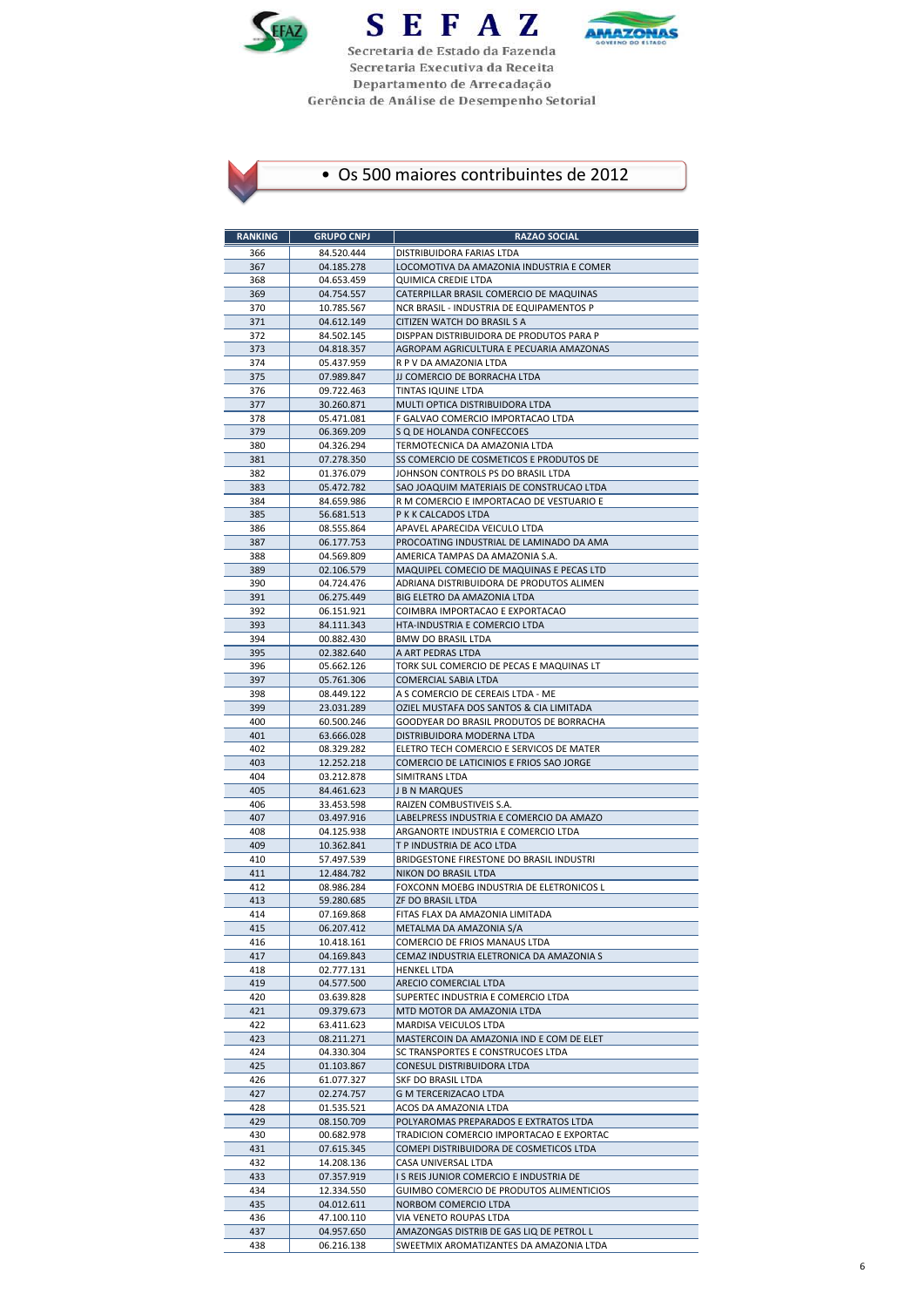





| <b>RANKING</b> | <b>GRUPO CNPJ</b>        | <b>RAZAO SOCIAL</b>                                                     |
|----------------|--------------------------|-------------------------------------------------------------------------|
| 366            | 84.520.444               | DISTRIBUIDORA FARIAS LTDA                                               |
| 367            | 04.185.278               | LOCOMOTIVA DA AMAZONIA INDUSTRIA E COMER                                |
| 368            | 04.653.459               | QUIMICA CREDIE LTDA                                                     |
| 369            | 04.754.557               | CATERPILLAR BRASIL COMERCIO DE MAQUINAS                                 |
| 370<br>371     | 10.785.567<br>04.612.149 | NCR BRASIL - INDUSTRIA DE EQUIPAMENTOS P<br>CITIZEN WATCH DO BRASIL S A |
| 372            | 84.502.145               | DISPPAN DISTRIBUIDORA DE PRODUTOS PARA P                                |
| 373            | 04.818.357               | AGROPAM AGRICULTURA E PECUARIA AMAZONAS                                 |
| 374            | 05.437.959               | R P V DA AMAZONIA LTDA                                                  |
| 375            | 07.989.847               | JJ COMERCIO DE BORRACHA LTDA                                            |
| 376            | 09.722.463               | TINTAS IQUINE LTDA                                                      |
| 377<br>378     | 30.260.871<br>05.471.081 | MULTI OPTICA DISTRIBUIDORA LTDA<br>F GALVAO COMERCIO IMPORTACAO LTDA    |
| 379            | 06.369.209               | S Q DE HOLANDA CONFECCOES                                               |
| 380            | 04.326.294               | TERMOTECNICA DA AMAZONIA LTDA                                           |
| 381            | 07.278.350               | SS COMERCIO DE COSMETICOS E PRODUTOS DE                                 |
| 382            | 01.376.079               | JOHNSON CONTROLS PS DO BRASIL LTDA                                      |
| 383            | 05.472.782               | SAO JOAQUIM MATERIAIS DE CONSTRUCAO LTDA                                |
| 384            | 84.659.986               | R M COMERCIO E IMPORTACAO DE VESTUARIO E                                |
| 385<br>386     | 56.681.513<br>08.555.864 | P K K CALCADOS LTDA<br>APAVEL APARECIDA VEICULO LTDA                    |
| 387            | 06.177.753               | PROCOATING INDUSTRIAL DE LAMINADO DA AMA                                |
| 388            | 04.569.809               | AMERICA TAMPAS DA AMAZONIA S.A.                                         |
| 389            | 02.106.579               | MAQUIPEL COMECIO DE MAQUINAS E PECAS LTD                                |
| 390            | 04.724.476               | ADRIANA DISTRIBUIDORA DE PRODUTOS ALIMEN                                |
| 391            | 06.275.449               | BIG ELETRO DA AMAZONIA LTDA                                             |
| 392            | 06.151.921               | COIMBRA IMPORTACAO E EXPORTACAO                                         |
| 393<br>394     | 84.111.343<br>00.882.430 | HTA-INDUSTRIA E COMERCIO LTDA<br><b>BMW DO BRASIL LTDA</b>              |
| 395            | 02.382.640               | A ART PEDRAS LTDA                                                       |
| 396            | 05.662.126               | TORK SUL COMERCIO DE PECAS E MAQUINAS LT                                |
| 397            | 05.761.306               | COMERCIAL SABIA LTDA                                                    |
| 398            | 08.449.122               | A S COMERCIO DE CEREAIS LTDA - ME                                       |
| 399            | 23.031.289               | OZIEL MUSTAFA DOS SANTOS & CIA LIMITADA                                 |
| 400<br>401     | 60.500.246<br>63.666.028 | GOODYEAR DO BRASIL PRODUTOS DE BORRACHA<br>DISTRIBUIDORA MODERNA LTDA   |
| 402            | 08.329.282               | ELETRO TECH COMERCIO E SERVICOS DE MATER                                |
| 403            | 12.252.218               | COMERCIO DE LATICINIOS E FRIOS SAO JORGE                                |
| 404            | 03.212.878               | SIMITRANS LTDA                                                          |
| 405            | 84.461.623               | J B N MARQUES                                                           |
| 406            | 33.453.598               | RAIZEN COMBUSTIVEIS S.A.                                                |
| 407            | 03.497.916<br>04.125.938 | LABELPRESS INDUSTRIA E COMERCIO DA AMAZO                                |
| 408<br>409     | 10.362.841               | ARGANORTE INDUSTRIA E COMERCIO LTDA<br>T P INDUSTRIA DE ACO LTDA        |
| 410            | 57.497.539               | BRIDGESTONE FIRESTONE DO BRASIL INDUSTRI                                |
| 411            | 12.484.782               | NIKON DO BRASIL LTDA                                                    |
| 412            | 08.986.284               | FOXCONN MOEBG INDUSTRIA DE ELETRONICOS L                                |
| 413            | 59.280.685               | <b>ZF DO BRASIL LTDA</b>                                                |
| 414<br>415     | 07.169.868<br>06.207.412 | FITAS FLAX DA AMAZONIA LIMITADA<br>METALMA DA AMAZONIA S/A              |
| 416            | 10.418.161               | COMERCIO DE FRIOS MANAUS LTDA                                           |
| 417            | 04.169.843               | CEMAZ INDUSTRIA ELETRONICA DA AMAZONIA S                                |
| 418            | 02.777.131               | <b>HENKEL LTDA</b>                                                      |
| 419            | 04.577.500               | ARECIO COMERCIAL LTDA                                                   |
| 420            | 03.639.828               | SUPERTEC INDUSTRIA E COMERCIO LTDA                                      |
| 421<br>422     | 09.379.673<br>63.411.623 | MTD MOTOR DA AMAZONIA LTDA<br>MARDISA VEICULOS LTDA                     |
| 423            | 08.211.271               | MASTERCOIN DA AMAZONIA IND E COM DE ELET                                |
| 424            | 04.330.304               | SC TRANSPORTES E CONSTRUCOES LTDA                                       |
| 425            | 01.103.867               | CONESUL DISTRIBUIDORA LTDA                                              |
| 426            | 61.077.327               | SKF DO BRASIL LTDA                                                      |
| 427            | 02.274.757               | G M TERCERIZACAO LTDA                                                   |
| 428<br>429     | 01.535.521<br>08.150.709 | ACOS DA AMAZONIA LTDA<br>POLYAROMAS PREPARADOS E EXTRATOS LTDA          |
| 430            | 00.682.978               | TRADICION COMERCIO IMPORTACAO E EXPORTAC                                |
| 431            | 07.615.345               | COMEPI DISTRIBUIDORA DE COSMETICOS LTDA                                 |
| 432            | 14.208.136               | CASA UNIVERSAL LTDA                                                     |
| 433            | 07.357.919               | I S REIS JUNIOR COMERCIO E INDUSTRIA DE                                 |
| 434            | 12.334.550               | GUIMBO COMERCIO DE PRODUTOS ALIMENTICIOS                                |
| 435            | 04.012.611               | NORBOM COMERCIO LTDA                                                    |
| 436<br>437     | 47.100.110<br>04.957.650 | VIA VENETO ROUPAS LTDA<br>AMAZONGAS DISTRIB DE GAS LIQ DE PETROL L      |
| 438            | 06.216.138               | SWEETMIX AROMATIZANTES DA AMAZONIA LTDA                                 |
|                |                          |                                                                         |